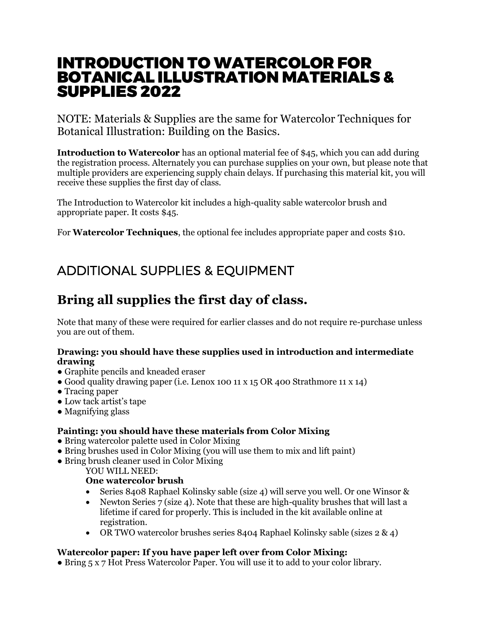## INTRODUCTION TO WATERCOLOR FOR BOTANICAL ILLUSTRATION MATERIALS & SUPPLIES 2022

NOTE: Materials & Supplies are the same for Watercolor Techniques for Botanical Illustration: Building on the Basics.

**Introduction to Watercolor** has an optional material fee of \$45, which you can add during the registration process. Alternately you can purchase supplies on your own, but please note that multiple providers are experiencing supply chain delays. If purchasing this material kit, you will receive these supplies the first day of class.

The Introduction to Watercolor kit includes a high-quality sable watercolor brush and appropriate paper. It costs \$45.

For **Watercolor Techniques**, the optional fee includes appropriate paper and costs \$10.

# ADDITIONAL SUPPLIES & EQUIPMENT

## **Bring all supplies the first day of class.**

Note that many of these were required for earlier classes and do not require re-purchase unless you are out of them.

### **Drawing: you should have these supplies used in introduction and intermediate drawing**

- Graphite pencils and kneaded eraser
- Good quality drawing paper (i.e. Lenox 100 11 x 15 OR 400 Strathmore 11 x 14)
- Tracing paper
- Low tack artist's tape
- Magnifying glass

## **Painting: you should have these materials from Color Mixing**

- Bring watercolor palette used in Color Mixing
- Bring brushes used in Color Mixing (you will use them to mix and lift paint)
- Bring brush cleaner used in Color Mixing

#### YOU WILL NEED:

## **One watercolor brush**

- Series 8408 Raphael Kolinsky sable (size 4) will serve you well. Or one Winsor &
- Newton Series  $7$  (size 4). Note that these are high-quality brushes that will last a lifetime if cared for properly. This is included in the kit available online at registration.
- OR TWO watercolor brushes series 8404 Raphael Kolinsky sable (sizes  $2 \& 4$ )

## **Watercolor paper: If you have paper left over from Color Mixing:**

• Bring 5 x 7 Hot Press Watercolor Paper. You will use it to add to your color library.